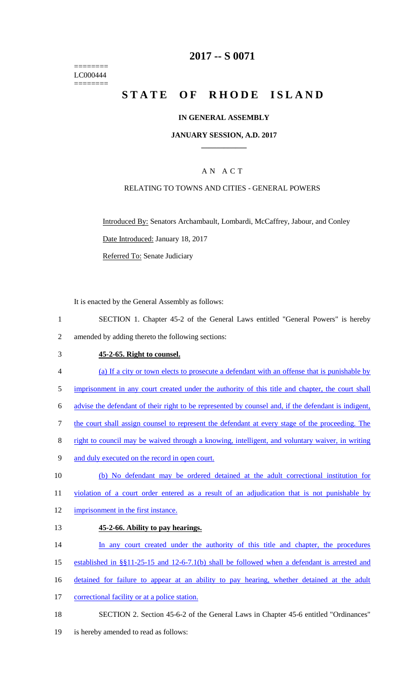======== LC000444 ========

## **2017 -- S 0071**

# STATE OF RHODE ISLAND

### **IN GENERAL ASSEMBLY**

#### **JANUARY SESSION, A.D. 2017 \_\_\_\_\_\_\_\_\_\_\_\_**

## A N A C T

## RELATING TO TOWNS AND CITIES - GENERAL POWERS

Introduced By: Senators Archambault, Lombardi, McCaffrey, Jabour, and Conley Date Introduced: January 18, 2017

Referred To: Senate Judiciary

It is enacted by the General Assembly as follows:

1 SECTION 1. Chapter 45-2 of the General Laws entitled "General Powers" is hereby 2 amended by adding thereto the following sections:

#### 3 **45-2-65. Right to counsel.**

- 4 (a) If a city or town elects to prosecute a defendant with an offense that is punishable by
- 5 imprisonment in any court created under the authority of this title and chapter, the court shall
- 6 advise the defendant of their right to be represented by counsel and, if the defendant is indigent,
- 7 the court shall assign counsel to represent the defendant at every stage of the proceeding. The
- 8 right to council may be waived through a knowing, intelligent, and voluntary waiver, in writing
- 9 and duly executed on the record in open court.
- 10 (b) No defendant may be ordered detained at the adult correctional institution for
- 11 violation of a court order entered as a result of an adjudication that is not punishable by
- 12 imprisonment in the first instance.

#### 13 **45-2-66. Ability to pay hearings.**

- 14 In any court created under the authority of this title and chapter, the procedures
- 15 established in §§11-25-15 and 12-6-7.1(b) shall be followed when a defendant is arrested and
- 16 detained for failure to appear at an ability to pay hearing, whether detained at the adult
- 17 correctional facility or at a police station.
- 18 SECTION 2. Section 45-6-2 of the General Laws in Chapter 45-6 entitled "Ordinances"
- 19 is hereby amended to read as follows: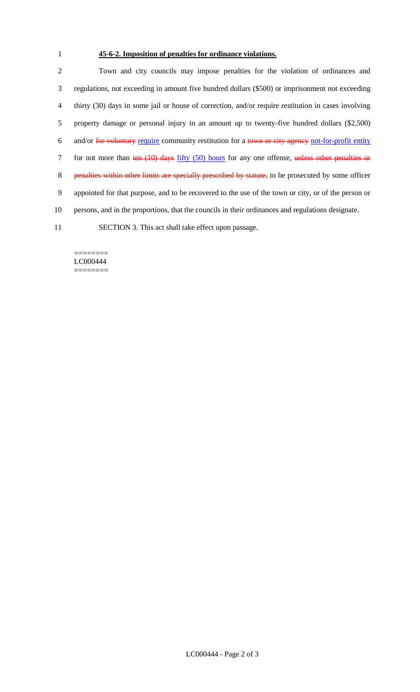## 1 **45-6-2. Imposition of penalties for ordinance violations.**

 Town and city councils may impose penalties for the violation of ordinances and regulations, not exceeding in amount five hundred dollars (\$500) or imprisonment not exceeding thirty (30) days in some jail or house of correction, and/or require restitution in cases involving property damage or personal injury in an amount up to twenty-five hundred dollars (\$2,500) 6 and/or for voluntary require community restitution for a town or city agency not-for-profit entity 7 for not more than ten (10) days fifty (50) hours for any one offense, unless other penalties or 8 penalties within other limits are specially prescribed by statute, to be prosecuted by some officer appointed for that purpose, and to be recovered to the use of the town or city, or of the person or persons, and in the proportions, that the councils in their ordinances and regulations designate. SECTION 3. This act shall take effect upon passage.

#### ======== LC000444 ========